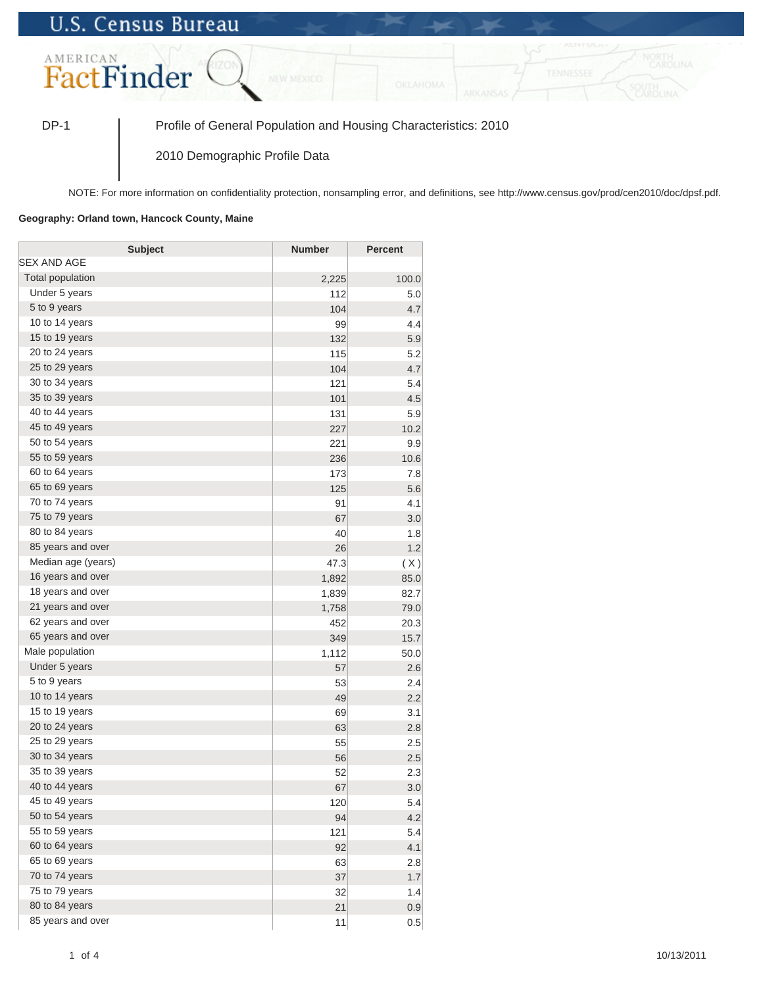## **U.S. Census Bureau**



DP-1 Profile of General Population and Housing Characteristics: 2010

2010 Demographic Profile Data

NOTE: For more information on confidentiality protection, nonsampling error, and definitions, see http://www.census.gov/prod/cen2010/doc/dpsf.pdf.

## **Geography: Orland town, Hancock County, Maine**

| <b>Subject</b>     | <b>Number</b> | <b>Percent</b> |
|--------------------|---------------|----------------|
| SEX AND AGE        |               |                |
| Total population   | 2,225         | 100.0          |
| Under 5 years      | 112           | 5.0            |
| 5 to 9 years       | 104           | 4.7            |
| 10 to 14 years     | 99            | 4.4            |
| 15 to 19 years     | 132           | 5.9            |
| 20 to 24 years     | 115           | 5.2            |
| 25 to 29 years     | 104           | 4.7            |
| 30 to 34 years     | 121           | 5.4            |
| 35 to 39 years     | 101           | 4.5            |
| 40 to 44 years     | 131           | 5.9            |
| 45 to 49 years     | 227           | 10.2           |
| 50 to 54 years     | 221           | 9.9            |
| 55 to 59 years     | 236           | 10.6           |
| 60 to 64 years     | 173           | 7.8            |
| 65 to 69 years     | 125           | 5.6            |
| 70 to 74 years     | 91            | 4.1            |
| 75 to 79 years     | 67            | 3.0            |
| 80 to 84 years     | 40            | 1.8            |
| 85 years and over  | 26            | 1.2            |
| Median age (years) | 47.3          | (X)            |
| 16 years and over  | 1,892         | 85.0           |
| 18 years and over  | 1,839         | 82.7           |
| 21 years and over  | 1,758         | 79.0           |
| 62 years and over  | 452           | 20.3           |
| 65 years and over  | 349           | 15.7           |
| Male population    | 1,112         | 50.0           |
| Under 5 years      | 57            | 2.6            |
| 5 to 9 years       | 53            | 2.4            |
| 10 to 14 years     | 49            | 2.2            |
| 15 to 19 years     | 69            | 3.1            |
| 20 to 24 years     | 63            | 2.8            |
| 25 to 29 years     | 55            | 2.5            |
| 30 to 34 years     | 56            | 2.5            |
| 35 to 39 years     | 52            | 2.3            |
| 40 to 44 years     | 67            | 3.0            |
| 45 to 49 years     | 120           | 5.4            |
| 50 to 54 years     | 94            | 4.2            |
| 55 to 59 years     | 121           | 5.4            |
| 60 to 64 years     | 92            | 4.1            |
| 65 to 69 years     | 63            | 2.8            |
| 70 to 74 years     | 37            | 1.7            |
| 75 to 79 years     | 32            | 1.4            |
| 80 to 84 years     | 21            | 0.9            |
| 85 years and over  | 11            | 0.5            |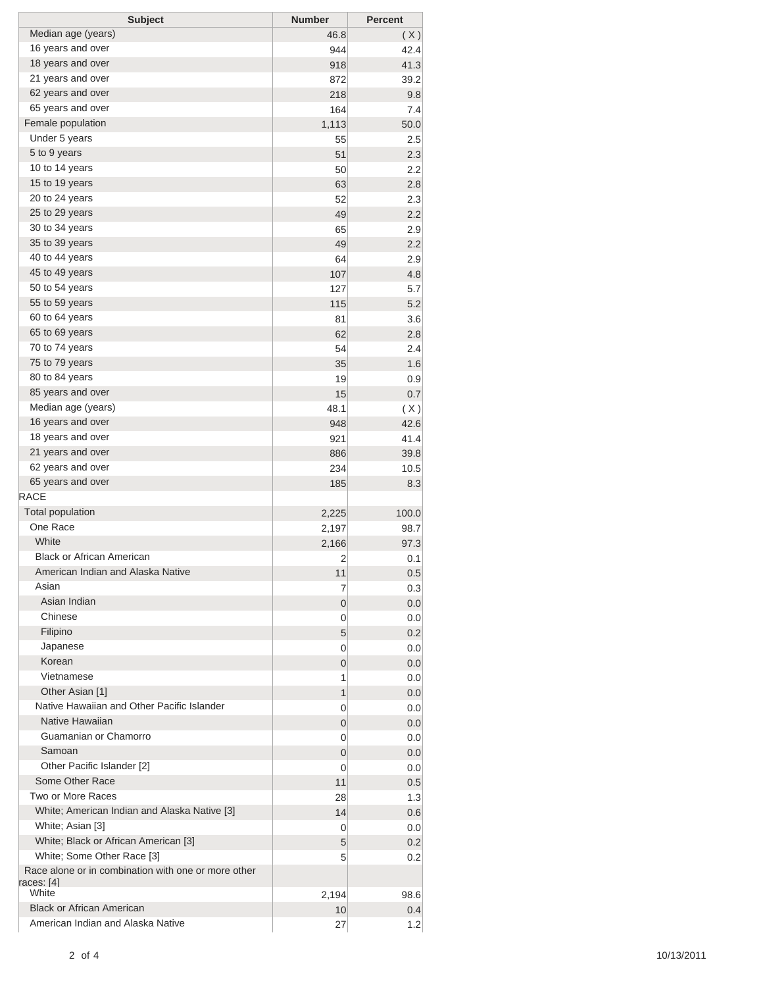| <b>Subject</b>                                      | <b>Number</b>  | <b>Percent</b> |
|-----------------------------------------------------|----------------|----------------|
| Median age (years)                                  | 46.8           | (X)            |
| 16 years and over                                   | 944            | 42.4           |
| 18 years and over                                   | 918            | 41.3           |
| 21 years and over                                   | 872            | 39.2           |
| 62 years and over                                   | 218            | 9.8            |
| 65 years and over                                   | 164            | 7.4            |
| Female population                                   | 1,113          | 50.0           |
| Under 5 years                                       | 55             | 2.5            |
| 5 to 9 years                                        | 51             | 2.3            |
| 10 to 14 years                                      | 50             | 2.2            |
| 15 to 19 years                                      | 63             | 2.8            |
| 20 to 24 years                                      | 52             | 2.3            |
| 25 to 29 years                                      | 49             | 2.2            |
| 30 to 34 years                                      | 65             | 2.9            |
| 35 to 39 years                                      | 49             | 2.2            |
| 40 to 44 years                                      | 64             | 2.9            |
| 45 to 49 years                                      | 107            | 4.8            |
| 50 to 54 years                                      | 127            | 5.7            |
| 55 to 59 years                                      | 115            | 5.2            |
| 60 to 64 years                                      | 81             | 3.6            |
| 65 to 69 years                                      | 62             | 2.8            |
| 70 to 74 years                                      | 54             | 2.4            |
| 75 to 79 years                                      | 35             | 1.6            |
| 80 to 84 years                                      | 19             | 0.9            |
| 85 years and over                                   | 15             | 0.7            |
| Median age (years)                                  | 48.1           | (X)            |
| 16 years and over                                   | 948            | 42.6           |
| 18 years and over                                   | 921            | 41.4           |
| 21 years and over                                   | 886            | 39.8           |
| 62 years and over                                   | 234            | 10.5           |
| 65 years and over                                   | 185            | 8.3            |
| <b>RACE</b>                                         |                |                |
| <b>Total population</b>                             | 2,225          | 100.0          |
| One Race                                            | 2,197          | 98.7           |
| White                                               | 2,166          | 97.3           |
| <b>Black or African American</b>                    | 2              | 0.1            |
| American Indian and Alaska Native                   | 11             | 0.5            |
| Asian                                               | 7              | 0.3            |
| Asian Indian                                        | 0              | 0.0            |
| Chinese                                             | 0              | 0.0            |
| Filipino                                            | 5              | 0.2            |
| Japanese                                            | 0              | 0.0            |
| Korean                                              | $\overline{0}$ | 0.0            |
| Vietnamese                                          | 1              | 0.0            |
| Other Asian [1]                                     | 1              | 0.0            |
| Native Hawaiian and Other Pacific Islander          | 0              | 0.0            |
| Native Hawaiian                                     | $\overline{0}$ | 0.0            |
| Guamanian or Chamorro                               | 0              | 0.0            |
| Samoan                                              | 0              | 0.0            |
| Other Pacific Islander [2]                          | 0              | 0.0            |
| Some Other Race                                     | 11             | 0.5            |
| Two or More Races                                   | 28             | 1.3            |
| White; American Indian and Alaska Native [3]        | 14             | 0.6            |
| White; Asian [3]                                    | 0              | 0.0            |
| White; Black or African American [3]                | 5              | 0.2            |
| White; Some Other Race [3]                          | 5              | 0.2            |
| Race alone or in combination with one or more other |                |                |
| races: [4]                                          |                |                |
| White                                               | 2,194          | 98.6           |
| <b>Black or African American</b>                    | 10             | 0.4            |
| American Indian and Alaska Native                   | 27             | 1.2            |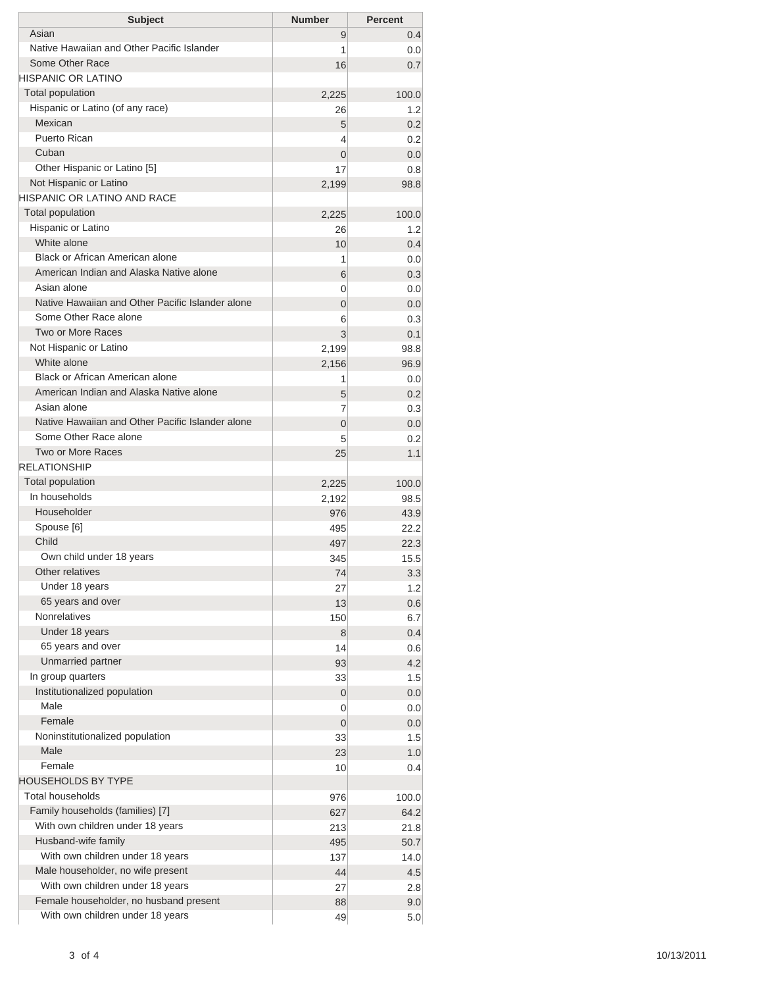| <b>Subject</b>                                               | <b>Number</b>  | <b>Percent</b> |
|--------------------------------------------------------------|----------------|----------------|
| Asian                                                        | 9              | 0.4            |
| Native Hawaiian and Other Pacific Islander                   | 1              | 0.0            |
| Some Other Race                                              | 16             | 0.7            |
| HISPANIC OR LATINO                                           |                |                |
| <b>Total population</b>                                      | 2,225          | 100.0          |
| Hispanic or Latino (of any race)                             | 26             | 1.2            |
| Mexican                                                      | 5              | 0.2            |
| Puerto Rican                                                 | 4              | 0.2            |
| Cuban                                                        | $\overline{0}$ | 0.0            |
| Other Hispanic or Latino [5]                                 | 17             | 0.8            |
| Not Hispanic or Latino<br><b>HISPANIC OR LATINO AND RACE</b> | 2,199          | 98.8           |
| <b>Total population</b>                                      |                |                |
| Hispanic or Latino                                           | 2,225          | 100.0          |
| White alone                                                  | 26<br>10       | 1.2<br>0.4     |
| Black or African American alone                              | 1              | 0.0            |
| American Indian and Alaska Native alone                      | 6              | 0.3            |
| Asian alone                                                  | 0              | 0.0            |
| Native Hawaiian and Other Pacific Islander alone             | $\overline{0}$ | 0.0            |
| Some Other Race alone                                        | 6              | 0.3            |
| Two or More Races                                            | 3              | 0.1            |
| Not Hispanic or Latino                                       | 2,199          | 98.8           |
| White alone                                                  | 2,156          | 96.9           |
| Black or African American alone                              | 1              | 0.0            |
| American Indian and Alaska Native alone                      | 5              | 0.2            |
| Asian alone                                                  | 7              | 0.3            |
| Native Hawaiian and Other Pacific Islander alone             | $\overline{0}$ | 0.0            |
| Some Other Race alone                                        | 5              | 0.2            |
| Two or More Races                                            | 25             | 1.1            |
| <b>RELATIONSHIP</b>                                          |                |                |
| Total population                                             | 2,225          | 100.0          |
| In households                                                | 2,192          | 98.5           |
| Householder                                                  | 976            | 43.9           |
| Spouse [6]                                                   | 495            | 22.2           |
| Child                                                        | 497            | 22.3           |
| Own child under 18 years                                     | 345            | 15.5           |
| Other relatives                                              | 74             | 3.3            |
| Under 18 years                                               | 27             | 1.2            |
| 65 years and over                                            | 13             | 0.6            |
| <b>Nonrelatives</b>                                          | 150            | 6.7            |
| Under 18 years                                               | 8              | 0.4            |
| 65 years and over                                            | 14             | 0.6            |
| Unmarried partner                                            | 93             | 4.2            |
| In group quarters                                            | 33             | 1.5            |
| Institutionalized population                                 | $\mathbf 0$    | 0.0            |
| Male                                                         | 0              | 0.0            |
| Female                                                       | 0              | 0.0            |
| Noninstitutionalized population                              | 33             | 1.5            |
| Male                                                         | 23             | 1.0            |
| Female                                                       | 10             | 0.4            |
| <b>HOUSEHOLDS BY TYPE</b>                                    |                |                |
| <b>Total households</b>                                      | 976            | 100.0          |
| Family households (families) [7]                             | 627            | 64.2           |
| With own children under 18 years                             | 213            | 21.8           |
| Husband-wife family                                          | 495            | 50.7           |
| With own children under 18 years                             | 137            | 14.0           |
| Male householder, no wife present                            | 44             | 4.5            |
| With own children under 18 years                             | 27             | 2.8            |
| Female householder, no husband present                       | 88             | 9.0            |
| With own children under 18 years                             | 49             | 5.0            |